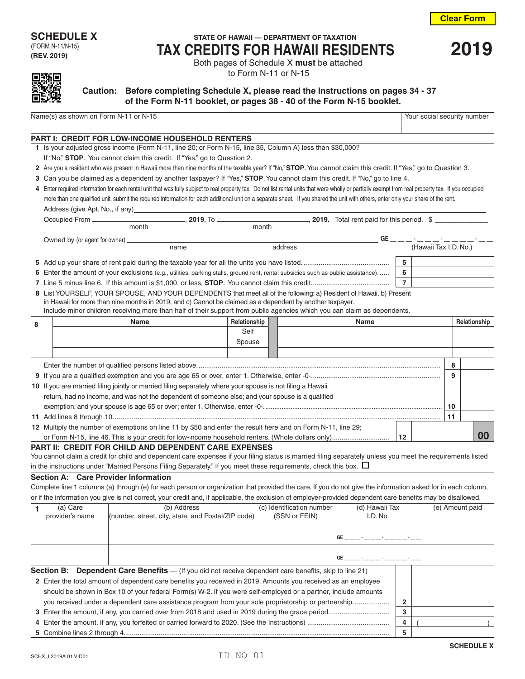# (FORM N-11/N-15)

**(REV. 2019)**

## **SCHEDULE X** STATE OF HAWAII — DEPARTMENT OF TAXATION **TAX CREDITS FOR HAWAII RESIDENTS <sup>2019</sup>** Both pages of Schedule X **must** be attached

to Form N-11 or N-15



**Caution: Before completing Schedule X, please read the Instructions on pages 34 - 37 of the Form N-11 booklet, or pages 38 - 40 of the Form N-15 booklet.**

Name(s) as shown on Form N-11 or N-15 Your social security number

### **PART I: CREDIT FOR LOW-INCOME HOUSEHOLD RENTERS**

- **1** Is your adjusted gross income (Form N-11, line 20; or Form N-15, line 35, Column A) less than \$30,000?
- If "No," **STOP**. You cannot claim this credit. If "Yes," go to Question 2.
- **2** Are you a resident who was present in Hawaii more than nine months of the taxable year? If "No," **STOP**. You cannot claim this credit. If "Yes," go to Question 3.
- **3** Can you be claimed as a dependent by another taxpayer? If "Yes," **STOP**. You cannot claim this credit. If "No," go to line 4.
- **4** Enter required information for each rental unit that was fully subject to real property tax. Do not list rental units that were wholly or partially exempt from real property tax. If you occupied more than one qualified unit, submit the required information for each additional unit on a separate sheet. If you shared the unit with others, enter only your share of the rent. Address (give Apt. No., if any)

|   |                                                                                                            |  |                                                                                                                                  |              |         |  |      |                   | GE _ _ _ · _ _ _ _ _ _ _ _ _ _ _ |    |              |
|---|------------------------------------------------------------------------------------------------------------|--|----------------------------------------------------------------------------------------------------------------------------------|--------------|---------|--|------|-------------------|----------------------------------|----|--------------|
|   |                                                                                                            |  | name                                                                                                                             |              | address |  |      |                   | (Hawaii Tax I.D. No.)            |    |              |
|   |                                                                                                            |  |                                                                                                                                  |              |         |  |      | 5                 |                                  |    |              |
|   |                                                                                                            |  | 6 Enter the amount of your exclusions (e.g., utilities, parking stalls, ground rent, rental subsidies such as public assistance) |              |         |  |      | 6                 |                                  |    |              |
|   |                                                                                                            |  |                                                                                                                                  |              |         |  |      | $\overline{7}$    |                                  |    |              |
|   |                                                                                                            |  | 8 List YOURSELF, YOUR SPOUSE, AND YOUR DEPENDENTS that meet all of the following: a) Resident of Hawaii, b) Present              |              |         |  |      |                   |                                  |    |              |
|   | in Hawaii for more than nine months in 2019, and c) Cannot be claimed as a dependent by another taxpayer.  |  |                                                                                                                                  |              |         |  |      |                   |                                  |    |              |
|   |                                                                                                            |  | Include minor children receiving more than half of their support from public agencies which you can claim as dependents.         |              |         |  |      |                   |                                  |    |              |
| 8 |                                                                                                            |  | Name                                                                                                                             | Relationship |         |  | Name |                   |                                  |    | Relationship |
|   |                                                                                                            |  |                                                                                                                                  | Self         |         |  |      |                   |                                  |    |              |
|   |                                                                                                            |  |                                                                                                                                  | Spouse       |         |  |      |                   |                                  |    |              |
|   |                                                                                                            |  |                                                                                                                                  |              |         |  |      |                   |                                  |    |              |
|   |                                                                                                            |  |                                                                                                                                  |              |         |  |      |                   |                                  | 8  |              |
|   |                                                                                                            |  |                                                                                                                                  |              |         |  |      |                   |                                  | 9  |              |
|   | 10 If you are married filing jointly or married filing separately where your spouse is not filing a Hawaii |  |                                                                                                                                  |              |         |  |      |                   |                                  |    |              |
|   | return, had no income, and was not the dependent of someone else; and your spouse is a qualified           |  |                                                                                                                                  |              |         |  |      |                   |                                  |    |              |
|   |                                                                                                            |  |                                                                                                                                  |              |         |  |      |                   |                                  | 10 |              |
|   |                                                                                                            |  |                                                                                                                                  |              |         |  |      |                   |                                  | 11 |              |
|   |                                                                                                            |  | 12 Multiply the number of exemptions on line 11 by \$50 and enter the result here and on Form N-11, line 29;                     |              |         |  |      |                   |                                  |    |              |
|   |                                                                                                            |  |                                                                                                                                  |              |         |  |      | $12 \overline{ }$ |                                  |    | 00           |

#### **PART II: CREDIT FOR CHILD AND DEPENDENT CARE EXPENSES**

You cannot claim a credit for child and dependent care expenses if your filing status is married filing separately unless you meet the requirements listed in the instructions under "Married Persons Filing Separately." If you meet these requirements, check this box.  $\Box$ 

#### **Section A: Care Provider Information**

Complete line 1 columns (a) through (e) for each person or organization that provided the care. If you do not give the information asked for in each column, or if the information you give is not correct, your credit and, if applicable, the exclusion of employer-provided dependent care benefits may be disallowed.

|                                                                                                                | (a) Care                                                                                                                                                                                                                       | (b) Address                                        | (c) Identification number | (d) Hawaii Tax |   |  | (e) Amount paid |  |
|----------------------------------------------------------------------------------------------------------------|--------------------------------------------------------------------------------------------------------------------------------------------------------------------------------------------------------------------------------|----------------------------------------------------|---------------------------|----------------|---|--|-----------------|--|
|                                                                                                                | provider's name                                                                                                                                                                                                                | (number, street, city, state, and Postal/ZIP code) | (SSN or FEIN)             | I.D. No.       |   |  |                 |  |
|                                                                                                                |                                                                                                                                                                                                                                |                                                    |                           |                |   |  |                 |  |
|                                                                                                                |                                                                                                                                                                                                                                |                                                    |                           |                |   |  |                 |  |
|                                                                                                                | GE the contract of the contract of the contract of the contract of the contract of the contract of the contract of the contract of the contract of the contract of the contract of the contract of the contract of the contrac |                                                    |                           |                |   |  |                 |  |
|                                                                                                                |                                                                                                                                                                                                                                |                                                    |                           |                |   |  |                 |  |
|                                                                                                                |                                                                                                                                                                                                                                |                                                    |                           | GE - - - -     |   |  |                 |  |
|                                                                                                                |                                                                                                                                                                                                                                |                                                    |                           |                |   |  |                 |  |
| Section B: Dependent Care Benefits - (If you did not receive dependent care benefits, skip to line 21)         |                                                                                                                                                                                                                                |                                                    |                           |                |   |  |                 |  |
| 2 Enter the total amount of dependent care benefits you received in 2019. Amounts you received as an employee  |                                                                                                                                                                                                                                |                                                    |                           |                |   |  |                 |  |
| should be shown in Box 10 of your federal Form(s) W-2. If you were self-employed or a partner, include amounts |                                                                                                                                                                                                                                |                                                    |                           |                |   |  |                 |  |
|                                                                                                                | you received under a dependent care assistance program from your sole proprietorship or partnership                                                                                                                            |                                                    |                           |                |   |  |                 |  |
|                                                                                                                |                                                                                                                                                                                                                                |                                                    |                           |                | 3 |  |                 |  |
|                                                                                                                |                                                                                                                                                                                                                                |                                                    |                           |                |   |  |                 |  |
|                                                                                                                |                                                                                                                                                                                                                                |                                                    |                           |                | 4 |  |                 |  |
|                                                                                                                |                                                                                                                                                                                                                                |                                                    |                           |                | 5 |  |                 |  |